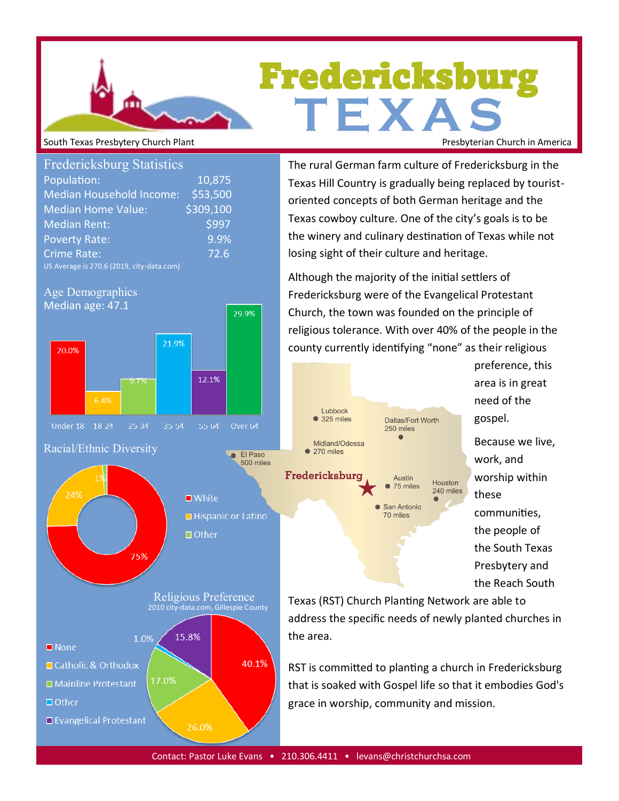# Fredericksburg **T E X A S** South Texas Presbytery Church Plant **Presbyterian Church in America** Presbyterian Church in America

| <b>Fredericksburg Statistics</b>          |           |
|-------------------------------------------|-----------|
| Population:                               | 10,875    |
| <b>Median Household Income:</b>           | \$53,500  |
| <b>Median Home Value:</b>                 | \$309,100 |
| <b>Median Rent:</b>                       | \$997     |
| <b>Poverty Rate:</b>                      | 9.9%      |
| Crime Rate:                               | 72.6      |
| US Average is 270.6 (2019, city-data.com) |           |





The rural German farm culture of Fredericksburg in the Texas Hill Country is gradually being replaced by touristoriented concepts of both German heritage and the Texas cowboy culture. One of the city's goals is to be the winery and culinary destination of Texas while not losing sight of their culture and heritage.

Although the majority of the initial settlers of Fredericksburg were of the Evangelical Protestant Church, the town was founded on the principle of religious tolerance. With over 40% of the people in the county currently identifying "none" as their religious



preference, this area is in great need of the gospel.

Because we live, work, and worship within these communities, the people of the South Texas Presbytery and the Reach South

Texas (RST) Church Planting Network are able to address the specific needs of newly planted churches in the area.

RST is committed to planting a church in Fredericksburg that is soaked with Gospel life so that it embodies God's grace in worship, community and mission.